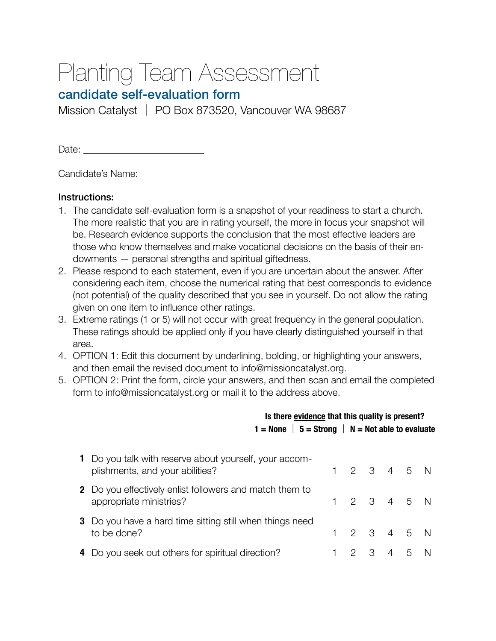## Planting Team Assessment

## candidate self-evaluation form

Mission Catalyst │ PO Box 873520, Vancouver WA 98687

Date: 

Candidate's Name: 

## Instructions:

- 1. The candidate self-evaluation form is a snapshot of your readiness to start a church. The more realistic that you are in rating yourself, the more in focus your snapshot will be. Research evidence supports the conclusion that the most effective leaders are those who know themselves and make vocational decisions on the basis of their endowments — personal strengths and spiritual giftedness.
- 2. Please respond to each statement, even if you are uncertain about the answer. After considering each item, choose the numerical rating that best corresponds to evidence (not potential) of the quality described that you see in yourself. Do not allow the rating given on one item to influence other ratings.
- 3. Extreme ratings (1 or 5) will not occur with great frequency in the general population. These ratings should be applied only if you have clearly distinguished yourself in that area.
- 4. OPTION 1: Edit this document by underlining, bolding, or highlighting your answers, and then email the revised document to info@missioncatalyst.org.
- 5. OPTION 2: Print the form, circle your answers, and then scan and email the completed form to info@missioncatalyst.org or mail it to the address above.

|   |                                                                                           | Is there evidence that this quality is present? |  |           |  |   |  |  |  |  |  |
|---|-------------------------------------------------------------------------------------------|-------------------------------------------------|--|-----------|--|---|--|--|--|--|--|
|   | $1 =$ None $\vert 5 =$ Strong $\vert N =$ Not able to evaluate                            |                                                 |  |           |  |   |  |  |  |  |  |
| 1 | Do you talk with reserve about yourself, your accom-<br>plishments, and your abilities?   |                                                 |  | 2 3 4 5 N |  |   |  |  |  |  |  |
|   | <b>2</b> Do you effectively enlist followers and match them to<br>appropriate ministries? |                                                 |  | 2 3 4 5 N |  |   |  |  |  |  |  |
|   | <b>3</b> Do you have a hard time sitting still when things need<br>to be done?            |                                                 |  | 2 3 4 5 N |  |   |  |  |  |  |  |
| 4 | Do you seek out others for spiritual direction?                                           |                                                 |  | 3         |  | 5 |  |  |  |  |  |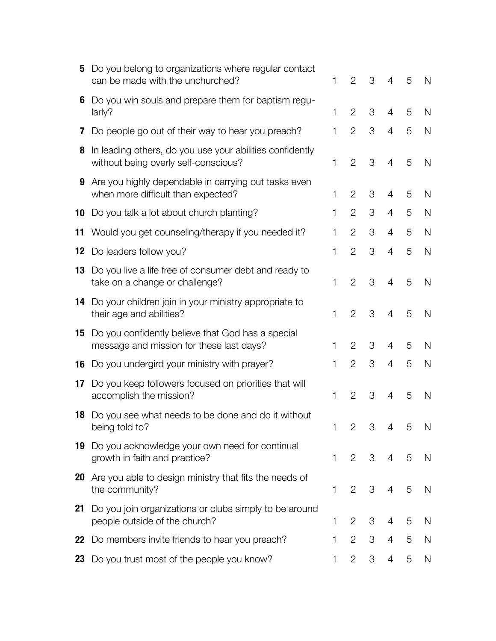| 5                | Do you belong to organizations where regular contact<br>can be made with the unchurched?            | 1           | $\overline{2}$            | 3 | 4              | 5 | N            |
|------------------|-----------------------------------------------------------------------------------------------------|-------------|---------------------------|---|----------------|---|--------------|
| 6                | Do you win souls and prepare them for baptism regu-<br>larly?                                       | 1           | $\overline{2}$            | 3 | 4              | 5 | N            |
| $\prime$         | Do people go out of their way to hear you preach?                                                   | 1           | $\overline{2}$            | 3 | $\overline{4}$ | 5 | $\mathsf{N}$ |
| 8                | In leading others, do you use your abilities confidently<br>without being overly self-conscious?    | 1           | $\overline{2}$            | 3 | 4              | 5 | N            |
|                  | <b>9</b> Are you highly dependable in carrying out tasks even<br>when more difficult than expected? | 1           | $\overline{2}$            | 3 | 4              | 5 | N            |
|                  | <b>10</b> Do you talk a lot about church planting?                                                  | 1           | $\overline{2}$            | 3 | 4              | 5 | $\mathsf{N}$ |
| 11               | Would you get counseling/therapy if you needed it?                                                  | 1           | $\overline{2}$            | 3 | 4              | 5 | $\mathsf{N}$ |
|                  | <b>12</b> Do leaders follow you?                                                                    | 1           | $\overline{2}$            | 3 | 4              | 5 | $\mathsf{N}$ |
| 13               | Do you live a life free of consumer debt and ready to<br>take on a change or challenge?             | 1           | $\overline{2}$            | 3 | 4              | 5 | N            |
| 14               | Do your children join in your ministry appropriate to<br>their age and abilities?                   | 1           | $\overline{2}$            | 3 | 4              | 5 | N            |
| 15               | Do you confidently believe that God has a special<br>message and mission for these last days?       | 1           | $\overline{2}$            | 3 | 4              | 5 | N            |
|                  | <b>16</b> Do you undergird your ministry with prayer?                                               | 1           | $\overline{2}$            | 3 | $\overline{4}$ | 5 | $\mathsf{N}$ |
| 17 <sup>17</sup> | Do you keep followers focused on priorities that will<br>accomplish the mission?                    | 1           | $\overline{2}$            | 3 | 4              | 5 | N            |
| 18               | Do you see what needs to be done and do it without<br>being told to?                                | $\mathbf 1$ | $\mathbf{2}^{\mathsf{I}}$ | 3 | $\overline{4}$ | 5 | N            |
|                  | 19 Do you acknowledge your own need for continual<br>growth in faith and practice?                  | 1           | 2                         | 3 | 4              | 5 | N            |
|                  | <b>20</b> Are you able to design ministry that fits the needs of<br>the community?                  | 1           | $\overline{2}$            | 3 | 4              | 5 | N            |
| 21               | Do you join organizations or clubs simply to be around<br>people outside of the church?             | 1           | $\overline{2}$            | 3 | 4              | 5 | N            |
| 22               | Do members invite friends to hear you preach?                                                       | 1           | $\overline{2}$            | 3 | 4              | 5 | N            |
| 23               | Do you trust most of the people you know?                                                           | 1           | $\overline{2}$            | 3 | 4              | 5 | N            |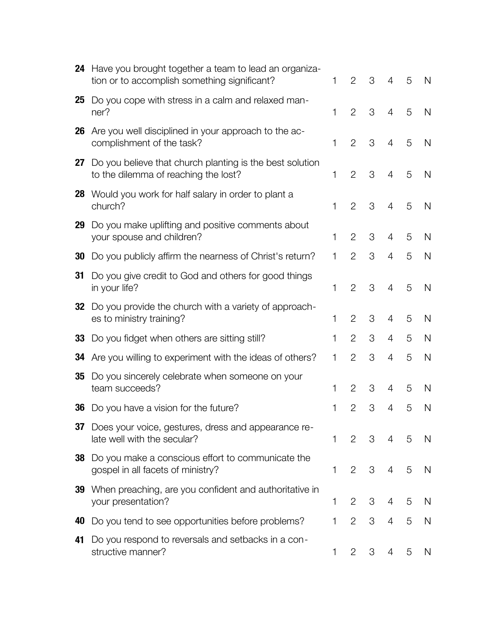| 24 | Have you brought together a team to lead an organiza-<br>tion or to accomplish something significant? | 1 | $\overline{2}$ | 3 | 4              | 5 | N |
|----|-------------------------------------------------------------------------------------------------------|---|----------------|---|----------------|---|---|
| 25 | Do you cope with stress in a calm and relaxed man-<br>ner?                                            | 1 | $\overline{2}$ | 3 | $\overline{4}$ | 5 | N |
| 26 | Are you well disciplined in your approach to the ac-<br>complishment of the task?                     | 1 | $\overline{2}$ | 3 | 4              | 5 | N |
| 27 | Do you believe that church planting is the best solution<br>to the dilemma of reaching the lost?      | 1 | $\overline{2}$ | 3 | 4              | 5 | N |
| 28 | Would you work for half salary in order to plant a<br>church?                                         | 1 | $\overline{2}$ | 3 | 4              | 5 | N |
| 29 | Do you make uplifting and positive comments about<br>your spouse and children?                        | 1 | $\overline{2}$ | 3 | 4              | 5 | N |
| 30 | Do you publicly affirm the nearness of Christ's return?                                               | 1 | $\overline{2}$ | 3 | 4              | 5 | N |
| 31 | Do you give credit to God and others for good things<br>in your life?                                 | 1 | $\overline{2}$ | 3 | 4              | 5 | N |
| 32 | Do you provide the church with a variety of approach-<br>es to ministry training?                     | 1 | $\overline{2}$ | 3 | 4              | 5 | N |
| 33 | Do you fidget when others are sitting still?                                                          | 1 | $\overline{2}$ | 3 | 4              | 5 | N |
| 34 | Are you willing to experiment with the ideas of others?                                               | 1 | $\overline{2}$ | 3 | 4              | 5 | N |
| 35 | Do you sincerely celebrate when someone on your<br>team succeeds?                                     | 1 | $\overline{2}$ | 3 | 4              | 5 | N |
| 36 | Do you have a vision for the future?                                                                  | 1 | $\overline{2}$ | 3 | 4              | 5 | N |
|    | 37 Does your voice, gestures, dress and appearance re-<br>late well with the secular?                 | 1 | $\overline{2}$ | 3 | 4              | 5 | N |
| 38 | Do you make a conscious effort to communicate the<br>gospel in all facets of ministry?                | 1 | $\overline{2}$ | 3 | 4              | 5 | N |
| 39 | When preaching, are you confident and authoritative in<br>your presentation?                          | 1 | 2              | 3 | 4              | 5 | N |
| 40 | Do you tend to see opportunities before problems?                                                     | 1 | $\overline{2}$ | 3 | 4              | 5 | N |
| 41 | Do you respond to reversals and setbacks in a con-<br>structive manner?                               | 1 | 2              | 3 | 4              | 5 | N |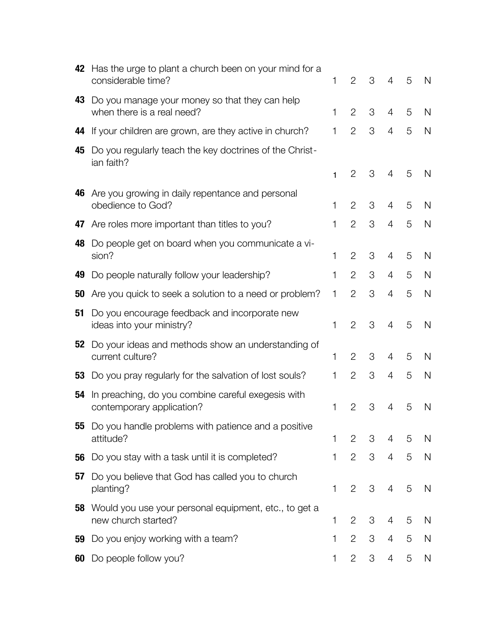| 42 | Has the urge to plant a church been on your mind for a<br>considerable time?    | 1            | $\overline{2}$ | 3 | 4              | 5 | N |
|----|---------------------------------------------------------------------------------|--------------|----------------|---|----------------|---|---|
| 43 | Do you manage your money so that they can help<br>when there is a real need?    | 1            | $\overline{2}$ | 3 | 4              | 5 | N |
| 44 | If your children are grown, are they active in church?                          | 1            | $\overline{2}$ | 3 | 4              | 5 | N |
| 45 | Do you regularly teach the key doctrines of the Christ-<br>ian faith?           |              |                |   |                |   |   |
|    |                                                                                 | $\mathbf{1}$ | $\overline{2}$ | 3 | 4              | 5 | N |
| 46 | Are you growing in daily repentance and personal<br>obedience to God?           | 1            | $\overline{2}$ | 3 | 4              | 5 | N |
|    | 47 Are roles more important than titles to you?                                 | 1            | $\overline{2}$ | 3 | 4              | 5 | N |
| 48 | Do people get on board when you communicate a vi-<br>sion?                      | 1            | $\overline{2}$ | 3 | 4              | 5 | N |
| 49 | Do people naturally follow your leadership?                                     | 1            | $\overline{2}$ | 3 | 4              | 5 | N |
| 50 | Are you quick to seek a solution to a need or problem?                          | 1            | $\overline{2}$ | 3 | 4              | 5 | N |
| 51 | Do you encourage feedback and incorporate new<br>ideas into your ministry?      | 1            | $\overline{2}$ | 3 | $\overline{4}$ | 5 | N |
|    | 52 Do your ideas and methods show an understanding of<br>current culture?       | 1            | 2              | 3 | 4              | 5 | N |
| 53 | Do you pray regularly for the salvation of lost souls?                          | 1            | $\overline{2}$ | 3 | 4              | 5 | N |
| 54 | In preaching, do you combine careful exegesis with<br>contemporary application? | 1            | $\overline{2}$ | 3 | 4              | 5 | N |
|    | 55 Do you handle problems with patience and a positive<br>attitude?             | 1            | 2              | 3 | 4              | 5 | N |
| 56 | Do you stay with a task until it is completed?                                  | $\mathbf{1}$ | $\overline{2}$ | 3 | $\overline{4}$ | 5 | N |
| 57 | Do you believe that God has called you to church<br>planting?                   | 1            | $\mathbf{2}$   | 3 | 4              | 5 | N |
| 58 | Would you use your personal equipment, etc., to get a<br>new church started?    | 1            | 2              | 3 | 4              | 5 | N |
| 59 | Do you enjoy working with a team?                                               | 1            | $\overline{2}$ | 3 | 4              | 5 | N |
| 60 | Do people follow you?                                                           | 1            | $\mathbf{2}$   | 3 | 4              | 5 | N |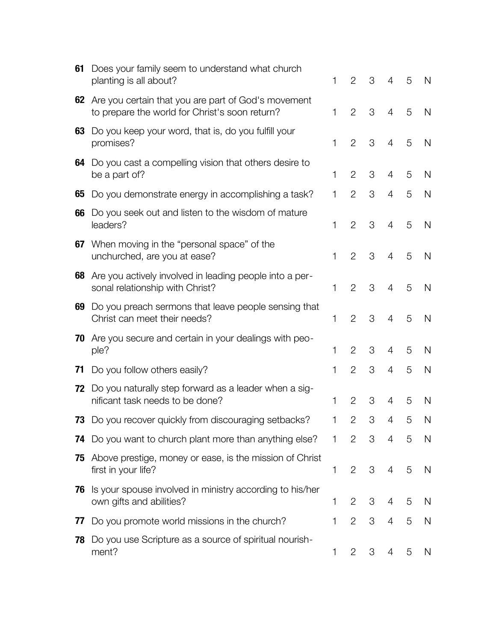| 61 | Does your family seem to understand what church<br>planting is all about?                             | 1            | $\overline{2}$ | 3 | 4              | 5 | N |
|----|-------------------------------------------------------------------------------------------------------|--------------|----------------|---|----------------|---|---|
| 62 | Are you certain that you are part of God's movement<br>to prepare the world for Christ's soon return? | $\mathbf{1}$ | $\overline{2}$ | 3 | $\overline{4}$ | 5 | N |
| 63 | Do you keep your word, that is, do you fulfill your<br>promises?                                      | 1            | $\overline{2}$ | 3 | $\overline{4}$ | 5 | N |
| 64 | Do you cast a compelling vision that others desire to<br>be a part of?                                | 1            | $\overline{2}$ | 3 | 4              | 5 | N |
| 65 | Do you demonstrate energy in accomplishing a task?                                                    | $\mathbf{1}$ | $\overline{2}$ | 3 | $\overline{4}$ | 5 | N |
| 66 | Do you seek out and listen to the wisdom of mature<br>leaders?                                        | $\mathbf 1$  | $\overline{2}$ | 3 | 4              | 5 | N |
| 67 | When moving in the "personal space" of the<br>unchurched, are you at ease?                            | $\mathbf 1$  | $\overline{2}$ | 3 | 4              | 5 | N |
| 68 | Are you actively involved in leading people into a per-<br>sonal relationship with Christ?            | $\mathbf 1$  | $\overline{2}$ | 3 | $\overline{4}$ | 5 | N |
| 69 | Do you preach sermons that leave people sensing that<br>Christ can meet their needs?                  | 1            | 2              | 3 | $\overline{4}$ | 5 | N |
| 70 | Are you secure and certain in your dealings with peo-<br>ple?                                         | 1            | $\overline{2}$ | 3 | $\overline{4}$ | 5 | N |
| 71 | Do you follow others easily?                                                                          | 1            | $\overline{2}$ | 3 | $\overline{4}$ | 5 | N |
| 72 | Do you naturally step forward as a leader when a sig-<br>nificant task needs to be done?              | $\mathbf 1$  | $\overline{2}$ | 3 | 4              | 5 | N |
| 73 | Do you recover quickly from discouraging setbacks?                                                    | 1            | $\overline{2}$ | 3 | 4              | 5 | N |
|    | <b>74</b> Do you want to church plant more than anything else? 1                                      |              | 2              | 3 | 4              | 5 | N |
| 75 | Above prestige, money or ease, is the mission of Christ<br>first in your life?                        | 1            | $\overline{2}$ | 3 | $\overline{4}$ | 5 | N |
| 76 | Is your spouse involved in ministry according to his/her<br>own gifts and abilities?                  | 1            | $\overline{2}$ | 3 | 4              | 5 | N |
| 77 | Do you promote world missions in the church?                                                          | $\mathbf{1}$ | $\overline{2}$ | 3 | 4              | 5 | N |
| 78 | Do you use Scripture as a source of spiritual nourish-<br>ment?                                       | 1            | $\mathbf{2}$   | 3 | 4              | 5 | N |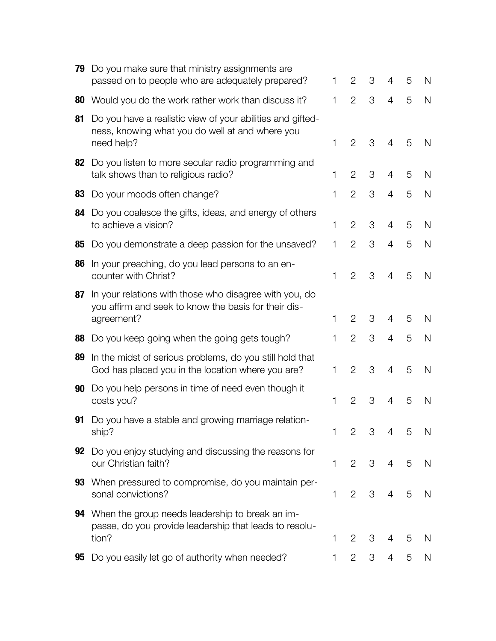| 79 | Do you make sure that ministry assignments are<br>passed on to people who are adequately prepared?                           | 1 | 2              | 3 | 4              | 5 | N |
|----|------------------------------------------------------------------------------------------------------------------------------|---|----------------|---|----------------|---|---|
| 80 | Would you do the work rather work than discuss it?                                                                           | 1 | $\overline{2}$ | 3 | 4              | 5 | N |
| 81 | Do you have a realistic view of your abilities and gifted-<br>ness, knowing what you do well at and where you<br>need help?  | 1 | $\overline{2}$ | 3 | $\overline{4}$ | 5 | N |
| 82 | Do you listen to more secular radio programming and<br>talk shows than to religious radio?                                   | 1 | $\overline{2}$ | 3 | 4              | 5 | N |
| 83 | Do your moods often change?                                                                                                  | 1 | $\overline{2}$ | 3 | 4              | 5 | N |
| 84 | Do you coalesce the gifts, ideas, and energy of others<br>to achieve a vision?                                               | 1 | $\overline{2}$ | 3 | 4              | 5 | N |
| 85 | Do you demonstrate a deep passion for the unsaved?                                                                           | 1 | $\overline{2}$ | 3 | 4              | 5 | N |
| 86 | In your preaching, do you lead persons to an en-<br>counter with Christ?                                                     | 1 | $\overline{2}$ | 3 | 4              | 5 | N |
| 87 | In your relations with those who disagree with you, do<br>you affirm and seek to know the basis for their dis-<br>agreement? | 1 | 2              | 3 | 4              | 5 | N |
| 88 | Do you keep going when the going gets tough?                                                                                 | 1 | $\overline{2}$ | 3 | 4              | 5 | N |
| 89 | In the midst of serious problems, do you still hold that<br>God has placed you in the location where you are?                | 1 | $\overline{2}$ | 3 | 4              | 5 | N |
| 90 | Do you help persons in time of need even though it<br>costs you?                                                             | 1 | $\overline{2}$ | 3 | 4              | 5 | N |
| 91 | Do you have a stable and growing marriage relation-<br>ship?                                                                 | 1 | $\overline{2}$ | 3 | 4              | 5 | N |
| 92 | Do you enjoy studying and discussing the reasons for<br>our Christian faith?                                                 | 1 | 2              | 3 | 4              | 5 | N |
| 93 | When pressured to compromise, do you maintain per-<br>sonal convictions?                                                     | 1 | $\overline{2}$ | 3 | 4              | 5 | N |
| 94 | When the group needs leadership to break an im-<br>passe, do you provide leadership that leads to resolu-<br>tion?           | 1 | $\overline{2}$ | 3 | 4              | 5 | N |
| 95 | Do you easily let go of authority when needed?                                                                               | 1 | 2              | 3 | 4              | 5 | N |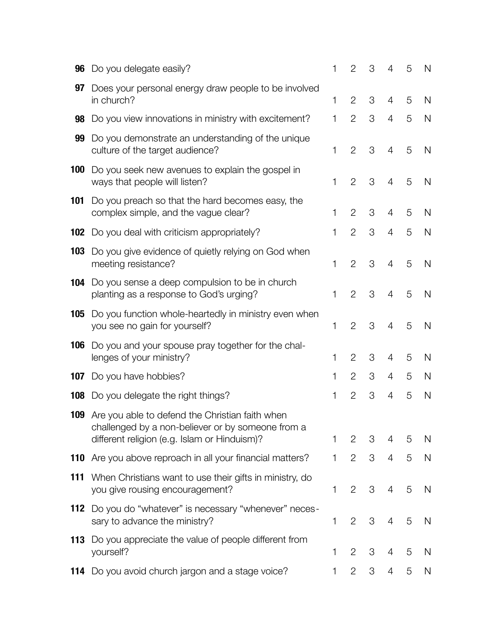| 96  | Do you delegate easily?                                                                                                                                         | 1 | $\overline{2}$ | 3 | 4              | 5 | N            |
|-----|-----------------------------------------------------------------------------------------------------------------------------------------------------------------|---|----------------|---|----------------|---|--------------|
| 97  | Does your personal energy draw people to be involved<br>in church?                                                                                              | 1 | $\overline{2}$ | 3 | 4              | 5 | N            |
| 98  | Do you view innovations in ministry with excitement?                                                                                                            | 1 | $\overline{2}$ | 3 | $\overline{4}$ | 5 | N            |
| 99  | Do you demonstrate an understanding of the unique<br>culture of the target audience?                                                                            | 1 | $\overline{2}$ | 3 | $\overline{4}$ | 5 | N            |
| 100 | Do you seek new avenues to explain the gospel in<br>ways that people will listen?                                                                               | 1 | $\overline{2}$ | 3 | $\overline{4}$ | 5 | N            |
| 101 | Do you preach so that the hard becomes easy, the<br>complex simple, and the vague clear?                                                                        | 1 | $\overline{2}$ | 3 | $\overline{4}$ | 5 | N            |
| 102 | Do you deal with criticism appropriately?                                                                                                                       | 1 | $\overline{2}$ | 3 | $\overline{4}$ | 5 | $\mathsf{N}$ |
| 103 | Do you give evidence of quietly relying on God when<br>meeting resistance?                                                                                      | 1 | $\overline{2}$ | 3 | $\overline{4}$ | 5 | N            |
| 104 | Do you sense a deep compulsion to be in church<br>planting as a response to God's urging?                                                                       | 1 | $\overline{2}$ | 3 | $\overline{4}$ | 5 | N            |
| 105 | Do you function whole-heartedly in ministry even when<br>you see no gain for yourself?                                                                          | 1 | $\overline{2}$ | 3 | $\overline{4}$ | 5 | N            |
| 106 | Do you and your spouse pray together for the chal-<br>lenges of your ministry?                                                                                  | 1 | $\overline{2}$ | 3 | 4              | 5 | N            |
| 107 | Do you have hobbies?                                                                                                                                            | 1 | $\overline{2}$ | 3 | 4              | 5 | N            |
| 108 | Do you delegate the right things?                                                                                                                               | 1 | $\overline{2}$ | 3 | 4              | 5 | N            |
|     | <b>109</b> Are you able to defend the Christian faith when<br>challenged by a non-believer or by someone from a<br>different religion (e.g. Islam or Hinduism)? | 1 | $\overline{2}$ | 3 | 4              | 5 | N            |
|     | 110 Are you above reproach in all your financial matters?                                                                                                       | 1 | $\overline{2}$ | 3 | $\overline{4}$ | 5 | $\mathsf{N}$ |
| 111 | When Christians want to use their gifts in ministry, do<br>you give rousing encouragement?                                                                      | 1 | $\overline{2}$ | 3 | $\overline{4}$ | 5 | N            |
| 112 | Do you do "whatever" is necessary "whenever" neces-<br>sary to advance the ministry?                                                                            | 1 | $\overline{2}$ | 3 | 4              | 5 | N            |
| 113 | Do you appreciate the value of people different from<br>yourself?                                                                                               | 1 | $\overline{2}$ | 3 | 4              | 5 | N            |
|     | 114 Do you avoid church jargon and a stage voice?                                                                                                               | 1 | $\overline{2}$ | 3 | 4              | 5 | N            |
|     |                                                                                                                                                                 |   |                |   |                |   |              |